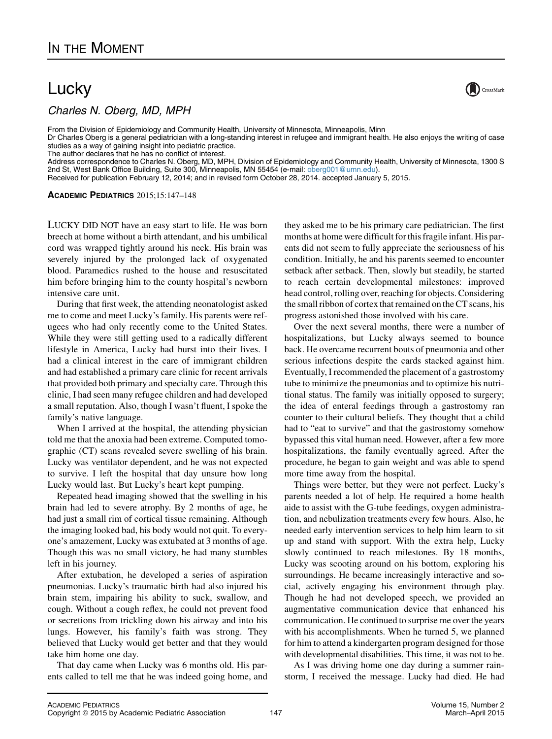## **Lucky**

 $C$ 

From the Division of Epidemiology and Community Health, University of Minnesota, Minneapolis, Minn

Dr Charles Oberg is a general pediatrician with a long-standing interest in refugee and immigrant health. He also enjoys the writing of case studies as a way of gaining insight into pediatric practice.

The author declares that he has no conflict of interest.

Address correspondence to Charles N. Oberg, MD, MPH, Division of Epidemiology and Community Health, University of Minnesota, 1300 S 2nd St, West Bank Office Building, Suite 300, Minneapolis, MN 55454 (e-mail: [oberg001@umn.edu](mailto:oberg001@umn.edu)).

Received for publication February 12, 2014; and in revised form October 28, 2014. accepted January 5, 2015.

ACADEMIC PEDIATRICS 2015;15:147–148

LUCKY DID NOT have an easy start to life. He was born breech at home without a birth attendant, and his umbilical cord was wrapped tightly around his neck. His brain was severely injured by the prolonged lack of oxygenated blood. Paramedics rushed to the house and resuscitated him before bringing him to the county hospital's newborn intensive care unit.

During that first week, the attending neonatologist asked me to come and meet Lucky's family. His parents were refugees who had only recently come to the United States. While they were still getting used to a radically different lifestyle in America, Lucky had burst into their lives. I had a clinical interest in the care of immigrant children and had established a primary care clinic for recent arrivals that provided both primary and specialty care. Through this clinic, I had seen many refugee children and had developed a small reputation. Also, though I wasn't fluent, I spoke the family's native language.

When I arrived at the hospital, the attending physician told me that the anoxia had been extreme. Computed tomographic (CT) scans revealed severe swelling of his brain. Lucky was ventilator dependent, and he was not expected to survive. I left the hospital that day unsure how long Lucky would last. But Lucky's heart kept pumping.

Repeated head imaging showed that the swelling in his brain had led to severe atrophy. By 2 months of age, he had just a small rim of cortical tissue remaining. Although the imaging looked bad, his body would not quit. To everyone's amazement, Lucky was extubated at 3 months of age. Though this was no small victory, he had many stumbles left in his journey.

After extubation, he developed a series of aspiration pneumonias. Lucky's traumatic birth had also injured his brain stem, impairing his ability to suck, swallow, and cough. Without a cough reflex, he could not prevent food or secretions from trickling down his airway and into his lungs. However, his family's faith was strong. They believed that Lucky would get better and that they would take him home one day.

That day came when Lucky was 6 months old. His parents called to tell me that he was indeed going home, and

they asked me to be his primary care pediatrician. The first months at home were difficult for this fragile infant. His parents did not seem to fully appreciate the seriousness of his condition. Initially, he and his parents seemed to encounter setback after setback. Then, slowly but steadily, he started to reach certain developmental milestones: improved head control, rolling over, reaching for objects. Considering the small ribbon of cortex that remained on the CT scans, his progress astonished those involved with his care.

Over the next several months, there were a number of hospitalizations, but Lucky always seemed to bounce back. He overcame recurrent bouts of pneumonia and other serious infections despite the cards stacked against him. Eventually, I recommended the placement of a gastrostomy tube to minimize the pneumonias and to optimize his nutritional status. The family was initially opposed to surgery; the idea of enteral feedings through a gastrostomy ran counter to their cultural beliefs. They thought that a child had to "eat to survive" and that the gastrostomy somehow bypassed this vital human need. However, after a few more hospitalizations, the family eventually agreed. After the procedure, he began to gain weight and was able to spend more time away from the hospital.

Things were better, but they were not perfect. Lucky's parents needed a lot of help. He required a home health aide to assist with the G-tube feedings, oxygen administration, and nebulization treatments every few hours. Also, he needed early intervention services to help him learn to sit up and stand with support. With the extra help, Lucky slowly continued to reach milestones. By 18 months, Lucky was scooting around on his bottom, exploring his surroundings. He became increasingly interactive and social, actively engaging his environment through play. Though he had not developed speech, we provided an augmentative communication device that enhanced his communication. He continued to surprise me over the years with his accomplishments. When he turned 5, we planned for him to attend a kindergarten program designed for those with developmental disabilities. This time, it was not to be.

As I was driving home one day during a summer rainstorm, I received the message. Lucky had died. He had